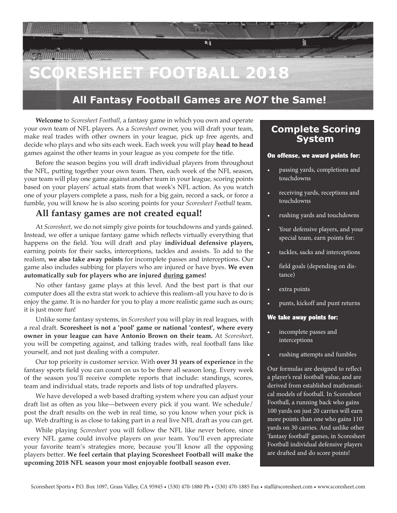# **SCORESHEET FOOTBALL 2018**

### **All Fantasy Football Games are** *NOT* **the Same!**

剛

**Welcome** to *Scoresheet Football*, a fantasy game in which you own and operate your own team of NFL players. As a *Scoresheet* owner, you will draft your team, make real trades with other owners in your league, pick up free agents, and decide who plays and who sits each week. Each week you will play **head to head**  games against the other teams in your league as you compete for the title.

Before the season begins you will draft individual players from throughout the NFL, putting together your own team. Then, each week of the NFL season, your team will play one game against another team in your league, scoring points based on your players' actual stats from that week's NFL action. As you watch one of your players complete a pass, rush for a big gain, record a sack, or force a fumble, you will know he is also scoring points for your *Scoresheet Football* team.

### **All fantasy games are not created equal!**

*MINUMANIA* 

At *Scoresheet*, we do not simply give points for touchdowns and yards gained. Instead, we offer a unique fantasy game which reflects virtually everything that happens on the field. You will draft and play **individual defensive players,**  earning points for their sacks, interceptions, tackles and assists. To add to the realism, **we also take away points** for incomplete passes and interceptions. Our game also includes subbing for players who are injured or have byes. **We even automatically sub for players who are injured during games!**

No other fantasy game plays at this level. And the best part is that our computer does all the extra stat work to achieve this realism–all you have to do is enjoy the game. It is no harder for you to play a more realistic game such as ours; it is just more fun!

Unlike some fantasy systems, in *Scoresheet* you will play in real leagues, with a real draft. **Scoresheet is not a 'pool' game or national 'contest', where every owner in your league can have Antonio Brown on their team.** At *Scoresheet,*  you will be competing against, and talking trades with, real football fans like yourself, and not just dealing with a computer.

Our top priority is customer service. With **over 31 years of experience** in the fantasy sports field you can count on us to be there all season long. Every week of the season you'll receive complete reports that include: standings, scores, team and individual stats, trade reports and lists of top undrafted players.

We have developed a web based drafting system where you can adjust your draft list as often as you like—between every pick if you want. We schedule/ post the draft results on the web in real time, so you know when your pick is up. Web drafting is as close to taking part in a real live NFL draft as you can get.

While playing *Scoresheet* you will follow the NFL like never before, since every NFL game could involve players on *your* team. You'll even appreciate your favorite team's strategies more, because you'll know all the opposing players better. **We feel certain that playing Scoresheet Football will make the upcoming 2018 NFL season your most enjoyable football season ever.**

### **Complete Scoring System**

**BARANIN'S** 

### On offense, we award points for:

- passing yards, completions and touchdowns
- receiving yards, receptions and touchdowns
- rushing yards and touchdowns
- Your defensive players, and your special team, earn points for:
- tackles, sacks and interceptions
- field goals (depending on distance)
- extra points
- punts, kickoff and punt returns

### We take away points for:

- incomplete passes and interceptions
- rushing attempts and fumbles

Our formulas are designed to reflect a player's real football value, and are derived from established mathematical models of football. In Scoresheet Football, a running back who gains 100 yards on just 20 carries will earn more points than one who gains 110 yards on 30 carries. And unlike other 'fantasy football' games, in Scoresheet Football individual defensive players are drafted and do score points!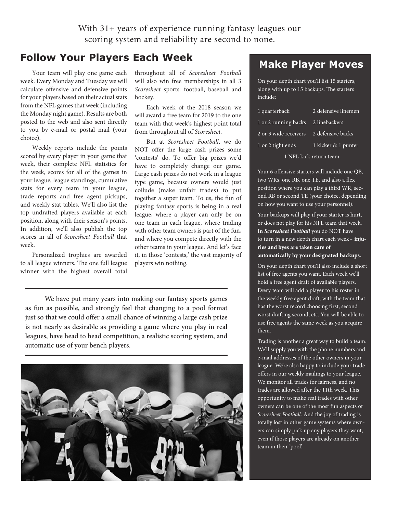With 31+ years of experience running fantasy leagues our scoring system and reliability are second to none.

### **Follow Your Players Each Week**

Your team will play one game each week. Every Monday and Tuesday we will calculate offensive and defensive points for your players based on their actual stats from the NFL games that week (including the Monday night game). Results are both posted to the web and also sent directly to you by e-mail or postal mail (your choice).

Weekly reports include the points scored by every player in your game that week, their complete NFL statistics for the week, scores for all of the games in your league, league standings, cumulative stats for every team in your league, trade reports and free agent pickups, and weekly stat tables. We'll also list the top undrafted players available at each position, along with their season's points. In addition, we'll also publish the top scores in all of *Scoresheet Football* that week.

Personalized trophies are awarded to all league winners. The one full league winner with the highest overall total throughout all of *Scoresheet Football*  will also win free memberships in all 3 *Scoresheet* sports: football, baseball and hockey.

Each week of the 2018 season we will award a free team for 2019 to the one team with that week's highest point total from throughout all of *Scoresheet*.

But at *Scoresheet Football*, we do NOT offer the large cash prizes some 'contests' do. To offer big prizes we'd have to completely change our game. Large cash prizes do not work in a league type game, because owners would just collude (make unfair trades) to put together a super team. To us, the fun of playing fantasy sports is being in a real league, where a player can only be on one team in each league, where trading with other team owners is part of the fun, and where you compete directly with the other teams in your league. And let's face it, in those 'contests,' the vast majority of players win nothing.

We have put many years into making our fantasy sports games as fun as possible, and strongly feel that changing to a pool format just so that we could offer a small chance of winning a large cash prize is not nearly as desirable as providing a game where you play in real leagues, have head to head competition, a realistic scoring system, and automatic use of your bench players.



### **Make Player Moves**

On your depth chart you'll list 15 starters, along with up to 15 backups. The starters include:

| 1 quarterback           | 2 defensive linemen |  |
|-------------------------|---------------------|--|
| 1 or 2 running backs    | 2 linebackers       |  |
| 2 or 3 wide receivers   | 2 defensive backs   |  |
| 1 or 2 tight ends       | 1 kicker & 1 punter |  |
| 1 NFL kick return team. |                     |  |

Your 6 offensive starters will include one QB, two WRs, one RB, one TE, and also a flex position where you can play a third WR, second RB or second TE (your choice, depending on how you want to use your personnel).

Your backups will play if your starter is hurt, or does not play for his NFL team that week. **In** *Scoresheet Football* you do NOT have to turn in a new depth chart each week– **injuries and byes are taken care of automatically by your designated backups.**

On your depth chart you'll also include a short list of free agents you want. Each week we'll hold a free agent draft of available players. Every team will add a player to his roster in the weekly free agent draft, with the team that has the worst record choosing first, second worst drafting second, etc. You will be able to use free agents the same week as you acquire them.

Trading is another a great way to build a team. We'll supply you with the phone numbers and e-mail addresses of the other owners in your league. We're also happy to include your trade offers in our weekly mailings to your league. We monitor all trades for fairness, and no trades are allowed after the 11th week. This opportunity to make real trades with other owners can be one of the most fun aspects of *Scoresheet Football*. And the joy of trading is totally lost in other game systems where owners can simply pick up any players they want, even if those players are already on another team in their 'pool'.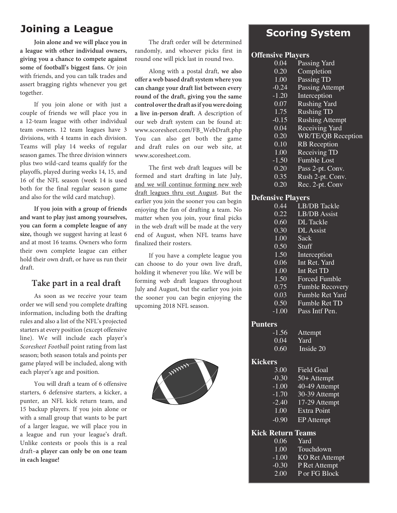## **Joining a League Scoring System**

**Join alone and we will place you in a league with other individual owners, giving you a chance to compete against some of football's biggest fans.** Or join with friends, and you can talk trades and assert bragging rights whenever you get together.

If you join alone or with just a couple of friends we will place you in a 12-team league with other individual team owners. 12 team leagues have 3 divisions, with 4 teams in each division. Teams will play 14 weeks of regular season games. The three division winners plus two wild-card teams qualify for the playoffs, played during weeks 14, 15, and 16 of the NFL season (week 14 is used both for the final regular season game and also for the wild card matchup).

**If you join with a group of friends and want to play just among yourselves, you can form a complete league of any size,** though we suggest having at least 6 and at most 16 teams. Owners who form their own complete league can either hold their own draft, or have us run their draft.

### **Take part in a real draft**

As soon as we receive your team order we will send you complete drafting information, including both the drafting rules and also a list of the NFL's projected starters at every position (except offensive line). We will include each player's *Scoresheet Football* point rating from last season; both season totals and points per game played will be included, along with each player's age and position.

You will draft a team of 6 offensive starters, 6 defensive starters, a kicker, a punter, an NFL kick return team, and 15 backup players. If you join alone or with a small group that wants to be part of a larger league, we will place you in a league and run your league's draft. Unlike contests or pools this is a real draft–**a player can only be on one team in each league!**

The draft order will be determined randomly, and whoever picks first in round one will pick last in round two.

Along with a postal draft, **we also offer a web based draft system where you can change your draft list between every round of the draft, giving you the same control over the draft as if you were doing a live in-person draft.** A description of our web draft system can be found at: www.scoresheet.com/FB\_WebDraft.php You can also get both the game and draft rules on our web site, at www.scoresheet.com

The first web draft leagues will be formed and start drafting in late July, and we will continue forming new web draft leagues thru out August. But the earlier you join the sooner you can begin enjoying the fun of drafting a team. No matter when you join, your final picks in the web draft will be made at the very end of August, when NFL teams have finalized their rosters.

If you have a complete league you can choose to do your own live draft, holding it whenever you like. We will be forming web draft leagues throughout July and August, but the earlier you join the sooner you can begin enjoying the upcoming 2018 NFL season.



### **Offensive Players**

| 0.04                              | Passing Yard           |
|-----------------------------------|------------------------|
| 0.20                              | Completion             |
| 1.00                              | Passing TD             |
| $-0.24$                           | <b>Passing Attempt</b> |
| $-1.20$                           | Interception           |
| 0.07                              | <b>Rushing Yard</b>    |
| 1.75                              | <b>Rushing TD</b>      |
| $-0.15$                           | <b>Rushing Attempt</b> |
| 0.04                              | Receiving Yard         |
| 0.20                              | WR/TE/QB Reception     |
| 0.10                              | <b>RB</b> Reception    |
| 1.00                              | Receiving TD           |
| $-1.50$                           | <b>Fumble Lost</b>     |
| 0.20                              | Pass 2-pt. Conv.       |
| 0.35                              | Rush 2-pt. Conv.       |
| 0.20                              | Rec. 2-pt. Conv        |
| . <b>m</b><br>$\blacksquare$<br>m |                        |

### **Defensive Players**

| 0.44              | <b>LB/DB</b> Tackle    |
|-------------------|------------------------|
| 0.22              | LB/DB Assist           |
| $0.60^{\circ}$    | DL Tackle              |
| 0.30 <sub>1</sub> | <b>DL</b> Assist       |
| 1.00              | Sack                   |
| $0.50^{\circ}$    | Stuff                  |
| 1.50              | Interception           |
| 0.06              | Int Ret. Yard          |
| 1.00              | Int Ret TD             |
| 1.50              | <b>Forced Fumble</b>   |
| 0.75              | <b>Fumble Recovery</b> |
| 0.03              | <b>Fumble Ret Yard</b> |
| $0.50^{\circ}$    | <b>Fumble Ret TD</b>   |
| $-1.00$           | Pass Intf Pen.         |
|                   |                        |

### **Punters**

| $-1.56$ | Attempt   |
|---------|-----------|
| 0.04    | Yard      |
| 0.60    | Inside 20 |

### **Kickers**

| <b>Field Goal</b> |
|-------------------|
| 50+ Attempt       |
| 40-49 Attempt     |
| 30-39 Attempt     |
| 17-29 Attempt     |
| Extra Point       |
| EP Attempt        |
|                   |

### **Kick Return Teams**

| 0.06    | Yard |                |
|---------|------|----------------|
| 1.00    |      | Touchdown      |
| $-1.00$ |      | KO Ret Attempt |
| $-0.30$ |      | P Ret Attempt  |
| 2.00    |      | P or FG Block  |
|         |      |                |